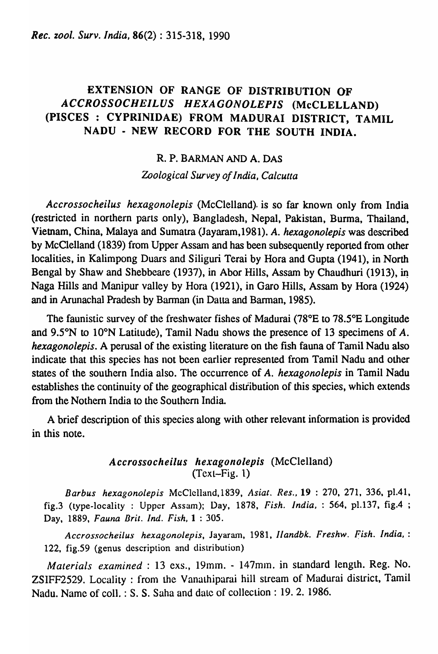# EXTENSION OF RANGE OF DISTRIBUTION OF *ACCROSSOCHEILUS HEXAGONOLEPIS* (McCLELLAND) (PISCES: CYPRINIDAE) FROM MADURAI DISTRICT, TAMIL NADU • NEW RECORD FOR THE SOUTH INDIA.

# R. P. BARMAN AND A. DAS

*Zoological Survey of India, Calcutta* 

*Accrossocheilus hexagonolepis* (McClelland). is so far known only from India (restricted in northern parts only), Bangladesh, Nepal, Pakistan, Burma, Thailand, Vietnam, China, Malaya and Sumatra (Jayaram,1981). A. *hexagonolepis* was described by McClelland (1839) from Upper Assam and has been subsequently reported from other localities, in Kalimpong Duars and Siliguri Terai by Rora and Gupta (1941), in North Bengal by Shaw and Shebbeare (1937), in Abor Hills, Assam by Chaudhuri (1913), in Naga Hills and Manipur valley by Hora (1921), in Garo Hills, Assam by Hora (1924) and in Arunachal Pradesh by Barman (in Datta and Barman, 1985).

The faunistic survey of the freshwater fishes of Madurai (78°E to 78.5°E Longitude and  $9.5^{\circ}$ N to  $10^{\circ}$ N Latitude), Tamil Nadu shows the presence of 13 specimens of A. *hexagonolepis.* A perusal of the existing literature on the fish fauna of Tamil Nadu also indicate that this species has not been earlier represented from Tamil Nadu and other states of the southern India also. The occurrence of A. *hexagonolepis* in Tamil Nadu establishes the continuity of the geographical distiibution of this species, which extends from the Nothern India to the Southern India.

A brief description of this species along with other relevant information is provided in this note.

# *Accrossocheilus hexagonolepis* (McClelland) (Text-Fig. 1)

*Barbus hexagonolepis* McClelland, 1839, *Asial. Res.,* 19 : 270, 271, 336, p1.41, fig.3 (type-locality : Upper Assam); Day, 1878, *Fish. India,* : 564, p1.137, fig.4 ; Day, 1889, *Fauna Brit. Ind. Fish,* 1 : 305.

*Accrossocheilus hexagonoiepis,* Jayaram, 1981, *Ilandbk. Freshw. fish. India, :*  122, fig.59 (genus description and distribution)

*Materials examined*: 13 exs., 19mm. - 147mm. in standard length. Reg. No. ZSIFF2529. Locality: from the Vanathiparai hill stream of Madurai district, Tamil Nadu. Name of coll.: S. S. Saha and date of collection: 19. 2. 1986.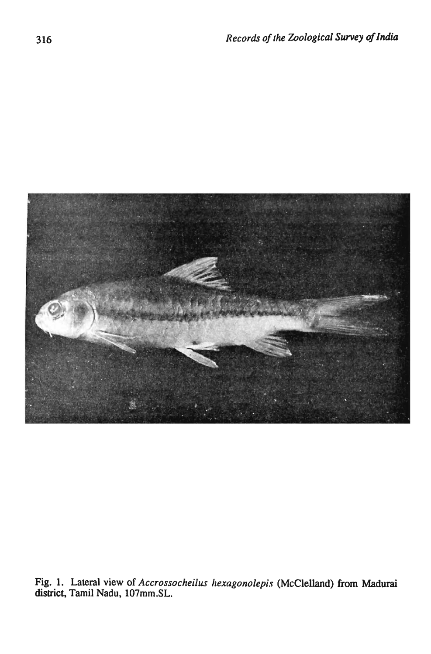

Fig. 1. Lateral view of *Accrossocheilus hexagonolepis* (McClelland) from Madurai district, Tamil Nadu, l07mm.SL.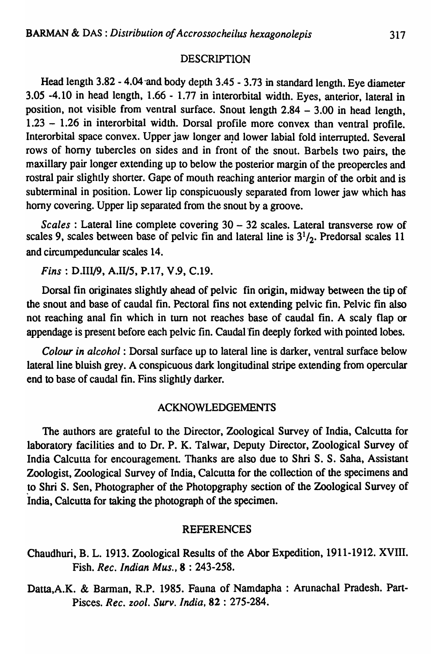#### **DESCRIPTION**

Head length 3.82 - 4.04·and body depth 3.45 - 3.73 in standard length. Eye diameter 3.05 -4.10 in head length, 1.66 - 1.77 in interorbital width. Eyes, anterior, lateral in position, not visible from ventral surface. Snout length  $2.84 - 3.00$  in head length, 1.23 - 1.26 in interorbital width. Dorsal profile more convex than ventral profile. Interorbital space convex. Upper jaw longer and lower labial fold interrupted. Several rows of horny tubercles on sides and in front of the snout. Barbels two pairs, the maxillary pair longer extending up to below the posterior margin of the preopercles and rostral pair slightly shorter. Gape of mouth reaching anterior margin of the orbit and is subterminal in position. Lower lip conspicuously separated from lower jaw which has horny covering. Upper lip separated from the snout by a groove.

*Scales* : Lateral line complete covering 30 - 32 scales. Lateral transverse row of scales 9, scales between base of pelvic fin and lateral line is  $3<sup>1</sup>/2$ . Predorsal scales 11 and circumpeduncular scales 14.

*Fins:* 0.111/9, A.I1/5, P.17, V.9, C.I9.

Dorsal fin originates slightly ahead of pelvic fin origin, midway between the tip of the snout and base of caudal fin. Pectoral fins not extending pelvic fin. Pelvic fin also not reaching anal fin which in tum not reaches base of caudal fin. A scaly flap or appendage is present before each pelvic fin. Caudal fin deeply forked with pointed lobes.

*Colour in alcohol:* Dorsal surface up to lateral line is darker, ventral surface below lateral line bluish grey. A conspicuous dark longitudinal stripe extending from opercular end to base of caudal fin. Fins slightly darker.

## ACKNOWLEDGEMENTS

The authors are grateful to the Director, Zoological Survey of India, Calcutta for laboratory facilities and to Dr. P. K. Talwar, Deputy Director, Zoological Survey of India Calcutta for encouragement. Thanks are also due to Shri S. S. Saba, Assistant Zoologist, Zoological Survey of India, Calcutta for the collection of the specimens and to Shri S. Sen, Photographer of the Photopgraphy section of the Zoological Survey of India, Calcutta for taking the photograph of the specimen.

## REFERENCES

Chaudhuri, B. L. 1913. Zoological Results of the Abor Expedition, 1911-1912. XVIII. Fish. *Rec. Indian Mus.,* 8 : 243-258.

Datta,A.K. & Barman, R.P. 1985. Fauna of Namdapha : Arunachal Pradesh. Part-Pisces. *Rec. zool. Surv. India,* 82 : 275-284.